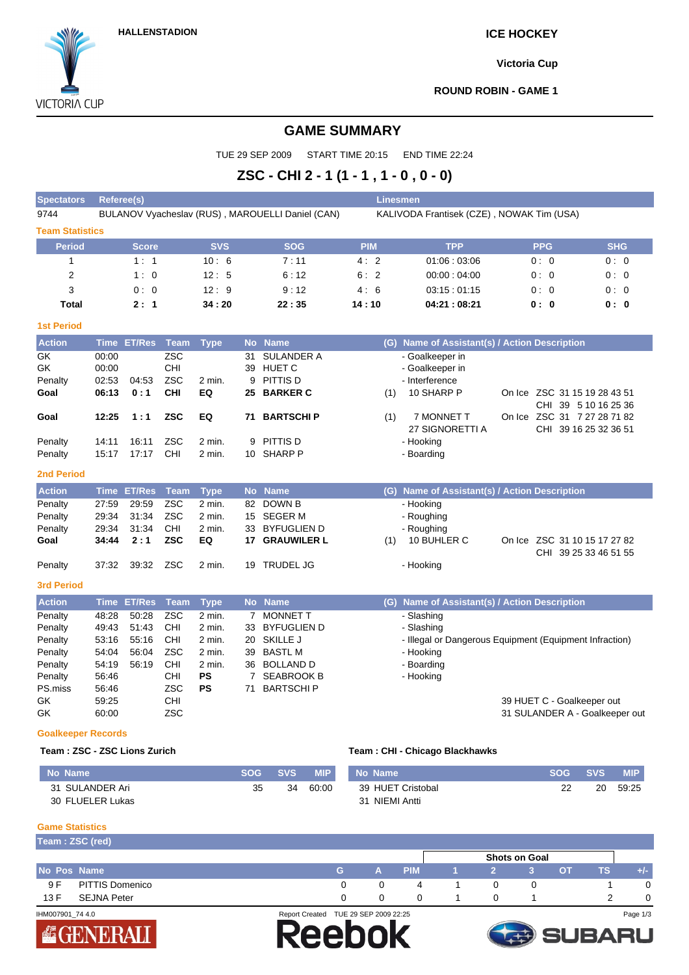# **HALLENSTADION ICE HOCKEY**

**Victoria Cup**

**VICTORIA CUP** 

**ROUND ROBIN - GAME 1**

# **GAME SUMMARY**

TUE 29 SEP 2009 START TIME 20:15 END TIME 22:24

# **ZSC - CHI 2 - 1 (1 - 1 , 1 - 0 , 0 - 0)**

| <b>Spectators</b>                                                         | <b>Referee(s)</b>                                           |                                           |                                                                           |                                                                          |                                      |                                                                                                                           | <b>Linesmen</b> |                                                                                                                             |                                                      |                                |
|---------------------------------------------------------------------------|-------------------------------------------------------------|-------------------------------------------|---------------------------------------------------------------------------|--------------------------------------------------------------------------|--------------------------------------|---------------------------------------------------------------------------------------------------------------------------|-----------------|-----------------------------------------------------------------------------------------------------------------------------|------------------------------------------------------|--------------------------------|
| 9744                                                                      |                                                             |                                           |                                                                           |                                                                          |                                      | BULANOV Vyacheslav (RUS), MAROUELLI Daniel (CAN)                                                                          |                 | KALIVODA Frantisek (CZE), NOWAK Tim (USA)                                                                                   |                                                      |                                |
| <b>Team Statistics</b>                                                    |                                                             |                                           |                                                                           |                                                                          |                                      |                                                                                                                           |                 |                                                                                                                             |                                                      |                                |
| <b>Period</b>                                                             |                                                             | <b>Score</b>                              |                                                                           | <b>SVS</b>                                                               |                                      | <b>SOG</b>                                                                                                                | <b>PIM</b>      | <b>TPP</b>                                                                                                                  | <b>PPG</b>                                           | <b>SHG</b>                     |
| 1                                                                         |                                                             | 1:1                                       |                                                                           | 10:6                                                                     |                                      | 7:11                                                                                                                      | 4:2             | 01:06:03:06                                                                                                                 | 0:0                                                  | 0:0                            |
| 2                                                                         |                                                             | 1:0                                       |                                                                           | 12:5                                                                     |                                      | 6:12                                                                                                                      | 6:2             | 00:00:04:00                                                                                                                 | 0:0                                                  | 0:0                            |
| 3                                                                         |                                                             | 0:0                                       |                                                                           | 12:9                                                                     |                                      | 9:12                                                                                                                      | 4:6             | 03:15:01:15                                                                                                                 | 0:0                                                  | 0:0                            |
| <b>Total</b>                                                              |                                                             | 2:1                                       |                                                                           | 34:20                                                                    |                                      | 22:35                                                                                                                     | 14 : 10         | 04:21:08:21                                                                                                                 | 0:0                                                  | 0: 0                           |
| <b>1st Period</b>                                                         |                                                             |                                           |                                                                           |                                                                          |                                      |                                                                                                                           |                 |                                                                                                                             |                                                      |                                |
| <b>Action</b>                                                             |                                                             | Time ET/Res                               | <b>Team</b>                                                               | <b>Type</b>                                                              |                                      | No Name                                                                                                                   |                 | (G) Name of Assistant(s) / Action Description                                                                               |                                                      |                                |
| GK<br>GK<br>Penalty<br>Goal                                               | 00:00<br>00:00<br>02:53<br>06:13                            | 04:53<br>0:1                              | <b>ZSC</b><br>CHI<br><b>ZSC</b><br><b>CHI</b>                             | 2 min.<br>EQ                                                             | 31<br>39<br>9<br>25                  | <b>SULANDER A</b><br><b>HUET C</b><br>PITTIS D<br><b>BARKER C</b>                                                         | (1)             | - Goalkeeper in<br>- Goalkeeper in<br>- Interference<br>10 SHARP P                                                          | On Ice ZSC 31 15 19 28 43 51<br>CHI 39 5 10 16 25 36 |                                |
| Goal                                                                      | 12:25                                                       | 1:1                                       | <b>ZSC</b>                                                                | EQ                                                                       | 71                                   | <b>BARTSCHIP</b>                                                                                                          | (1)             | 7 MONNET T<br>27 SIGNORETTI A                                                                                               | On Ice ZSC 31 7 27 28 71 82<br>CHI 39 16 25 32 36 51 |                                |
| Penalty                                                                   | 14:11                                                       | 16:11                                     | <b>ZSC</b>                                                                | 2 min.                                                                   | 9                                    | PITTIS D                                                                                                                  |                 | - Hooking                                                                                                                   |                                                      |                                |
| Penalty                                                                   | 15:17                                                       | 17:17                                     | <b>CHI</b>                                                                | 2 min.                                                                   |                                      | 10 SHARP P                                                                                                                |                 | - Boarding                                                                                                                  |                                                      |                                |
| <b>2nd Period</b>                                                         |                                                             |                                           |                                                                           |                                                                          |                                      |                                                                                                                           |                 |                                                                                                                             |                                                      |                                |
| <b>Action</b>                                                             | <b>Time</b>                                                 | <b>ET/Res</b>                             | <b>Team</b>                                                               | <b>Type</b>                                                              | <b>No</b>                            | <b>Name</b>                                                                                                               | (G)             | Name of Assistant(s) / Action Description                                                                                   |                                                      |                                |
| Penalty<br>Penalty<br>Penalty<br>Goal                                     | 27:59<br>29:34<br>29:34<br>34:44                            | 29:59<br>31:34<br>31:34<br>2:1            | <b>ZSC</b><br>ZSC<br>CHI<br><b>ZSC</b>                                    | 2 min.<br>2 min.<br>2 min.<br>EQ                                         | 15<br>33<br>17                       | 82 DOWN B<br><b>SEGER M</b><br><b>BYFUGLIEN D</b><br><b>GRAUWILER L</b>                                                   | (1)             | - Hooking<br>- Roughing<br>- Roughing<br>10 BUHLER C                                                                        | On Ice ZSC 31 10 15 17 27 82                         |                                |
| Penalty                                                                   | 37:32                                                       | 39:32                                     | <b>ZSC</b>                                                                | 2 min.                                                                   | 19                                   | <b>TRUDEL JG</b>                                                                                                          |                 | - Hooking                                                                                                                   | CHI 39 25 33 46 51 55                                |                                |
| 3rd Period                                                                |                                                             |                                           |                                                                           |                                                                          |                                      |                                                                                                                           |                 |                                                                                                                             |                                                      |                                |
| <b>Action</b>                                                             | <b>Time</b>                                                 | <b>ET/Res</b>                             | <b>Team</b>                                                               | <b>Type</b>                                                              | <b>No</b>                            | <b>Name</b>                                                                                                               | (G)             | Name of Assistant(s) / Action Description                                                                                   |                                                      |                                |
| Penalty<br>Penalty<br>Penalty<br>Penalty<br>Penalty<br>Penalty<br>PS.miss | 48:28<br>49:43<br>53:16<br>54:04<br>54:19<br>56:46<br>56:46 | 50:28<br>51:43<br>55:16<br>56:04<br>56:19 | <b>ZSC</b><br>CHI<br>CHI<br><b>ZSC</b><br>CHI<br><b>CHI</b><br><b>ZSC</b> | 2 min.<br>2 min.<br>2 min.<br>2 min.<br>2 min.<br><b>PS</b><br><b>PS</b> | 7<br>33<br>20<br>39<br>36<br>7<br>71 | <b>MONNET T</b><br><b>BYFUGLIEN D</b><br>SKILLE J<br><b>BASTL M</b><br>BOLLAND D<br><b>SEABROOK B</b><br><b>BARTSCHIP</b> |                 | - Slashing<br>- Slashing<br>- Illegal or Dangerous Equipment (Equipment Infraction)<br>- Hooking<br>- Boarding<br>- Hooking |                                                      |                                |
| GK<br>GK<br><b>Goalkeeper Records</b>                                     | 59:25<br>60:00                                              |                                           | CHI<br><b>ZSC</b>                                                         |                                                                          |                                      |                                                                                                                           |                 |                                                                                                                             | 39 HUET C - Goalkeeper out                           | 31 SULANDER A - Goalkeeper out |

### **Team : ZSC - ZSC Lions Zurich Team : CHI - Chicago Blackhawks**

| No Name          | <b>SOG SVS</b> |    | <b>MIP</b> | No Name           |
|------------------|----------------|----|------------|-------------------|
| 31 SULANDER Ari  | 35             | 34 | 60:00      | 39 HUET Cristobal |
| 30 FLUELER Lukas |                |    |            | 31 NIEMI Antti    |

### **Game Statistics**

|                  |                        |                       |                       |             |   | <b>Shots on Goal</b> |           |     |          |
|------------------|------------------------|-----------------------|-----------------------|-------------|---|----------------------|-----------|-----|----------|
| No Pos Name      |                        | G.                    | A                     | <b>PIMA</b> |   |                      | <b>OT</b> | TS. | $+/-$    |
| 9 F              | <b>PITTIS Domenico</b> |                       |                       | 4           | 0 |                      |           |     |          |
| 13 F             | <b>SEJNA Peter</b>     |                       |                       |             | 0 |                      |           |     | 0        |
| IHM007901 74 4.0 |                        | <b>Report Created</b> | TUE 29 SEP 2009 22:25 |             |   |                      |           |     | Page 1/3 |







**No Name SOG SVS MIP**

22 20 59:25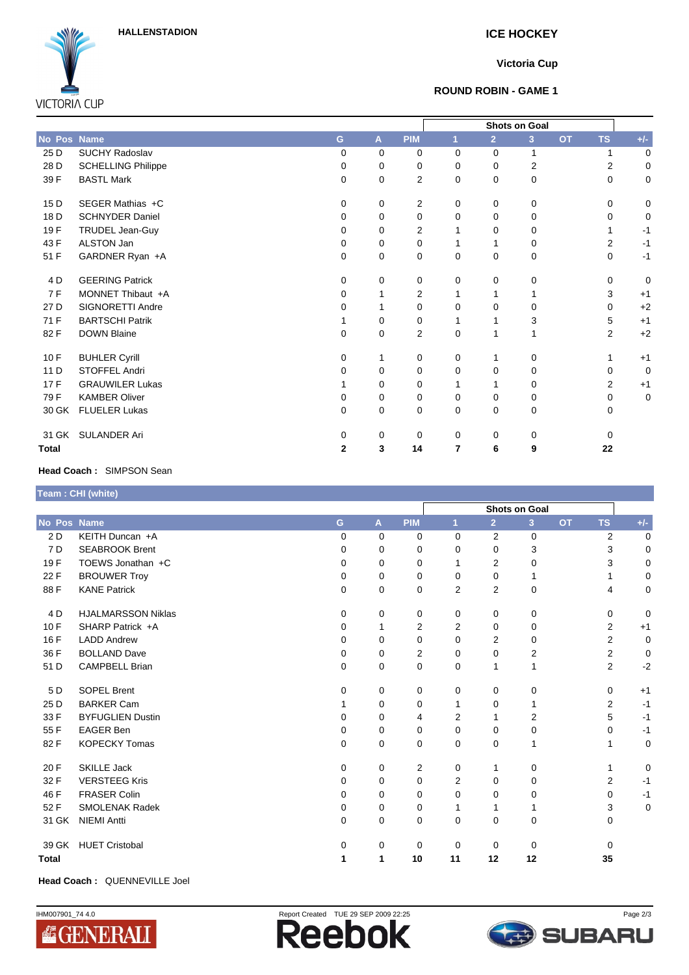**HALLENSTADION ICE HOCKEY**



## **Victoria Cup**

### **ROUND ROBIN - GAME 1**

|                 |                           |              |              |             | <b>Shots on Goal</b> |                |                |           |                |             |
|-----------------|---------------------------|--------------|--------------|-------------|----------------------|----------------|----------------|-----------|----------------|-------------|
| No Pos Name     |                           | G            | $\mathbf{A}$ | <b>PIM</b>  |                      | $\overline{2}$ | 3              | <b>OT</b> | <b>TS</b>      | $+/-$       |
| 25 D            | <b>SUCHY Radoslav</b>     | $\Omega$     | $\Omega$     | 0           | $\Omega$             | $\Omega$       | 1              |           | 1              | 0           |
| 28 D            | <b>SCHELLING Philippe</b> | $\Omega$     | 0            | 0           | $\Omega$             | 0              | $\overline{2}$ |           | $\overline{2}$ | 0           |
| 39 F            | <b>BASTL Mark</b>         | 0            | 0            | 2           | 0                    | $\Omega$       | 0              |           | 0              | 0           |
| 15 <sub>D</sub> | SEGER Mathias +C          | 0            | 0            | 2           | 0                    | 0              | 0              |           | $\Omega$       | 0           |
| 18 D            | <b>SCHNYDER Daniel</b>    | $\Omega$     | $\Omega$     | 0           | 0                    | $\Omega$       | 0              |           | <sup>0</sup>   | 0           |
| 19F             | TRUDEL Jean-Guy           | 0            | $\Omega$     | 2           |                      | 0              | 0              |           | 1              | $-1$        |
| 43 F            | ALSTON Jan                | $\Omega$     | $\Omega$     | 0           |                      |                | 0              |           | $\overline{2}$ | $-1$        |
| 51 F            | GARDNER Ryan +A           | 0            | 0            | $\mathbf 0$ | 0                    | 0              | $\mathbf 0$    |           | $\mathbf 0$    | $-1$        |
| 4 D             | <b>GEERING Patrick</b>    | $\Omega$     | 0            | 0           | 0                    | $\Omega$       | 0              |           | $\Omega$       | 0           |
| 7 F             | MONNET Thibaut +A         | $\Omega$     |              | 2           | 1                    |                |                |           | 3              | $+1$        |
| 27 D            | SIGNORETTI Andre          | 0            |              | 0           | 0                    | 0              | 0              |           | $\Omega$       | $+2$        |
| 71 F            | <b>BARTSCHI Patrik</b>    |              | 0            | 0           |                      |                | 3              |           | 5              | $+1$        |
| 82F             | <b>DOWN Blaine</b>        | 0            | 0            | 2           | 0                    | 1              | 1              |           | $\overline{2}$ | $+2$        |
| 10 F            | <b>BUHLER Cyrill</b>      | $\Omega$     |              | 0           | $\Omega$             |                | 0              |           |                | $+1$        |
| 11 D            | <b>STOFFEL Andri</b>      | 0            | 0            | 0           | 0                    | 0              | $\mathbf 0$    |           | 0              | $\mathbf 0$ |
| 17 F            | <b>GRAUWILER Lukas</b>    |              | 0            | 0           |                      |                | 0              |           | $\overline{2}$ | $+1$        |
| 79 F            | <b>KAMBER Oliver</b>      | 0            | 0            | 0           | 0                    | 0              | 0              |           | 0              | 0           |
| 30 GK           | <b>FLUELER Lukas</b>      | $\Omega$     | 0            | 0           | $\Omega$             | 0              | $\mathbf 0$    |           | 0              |             |
| 31 GK           | <b>SULANDER Ari</b>       | 0            | 0            | 0           | 0                    | 0              | 0              |           | $\Omega$       |             |
| <b>Total</b>    |                           | $\mathbf{2}$ | 3            | 14          | $\overline{7}$       | 6              | 9              |           | 22             |             |

### **Head Coach :** SIMPSON Sean

# **Team : CHI (white)**

|                |                           |          |                |             | <b>Shots on Goal</b> |                |                |           |                |             |
|----------------|---------------------------|----------|----------------|-------------|----------------------|----------------|----------------|-----------|----------------|-------------|
| No Pos Name    |                           | G        | $\overline{A}$ | <b>PIM</b>  | $\mathbf{1}$         | $\overline{2}$ | $\overline{3}$ | <b>OT</b> | <b>TS</b>      | $+/-$       |
| 2D             | KEITH Duncan +A           | $\Omega$ | 0              | 0           | 0                    | 2              | 0              |           | $\overline{2}$ | $\mathbf 0$ |
| 7 <sub>D</sub> | <b>SEABROOK Brent</b>     | 0        | 0              | 0           | 0                    | 0              | 3              |           | 3              | 0           |
| 19F            | TOEWS Jonathan +C         | 0        | 0              | 0           | 1                    | $\overline{2}$ | 0              |           | 3              | 0           |
| 22 F           | <b>BROUWER Troy</b>       | 0        | 0              | $\mathbf 0$ | 0                    | $\mathbf 0$    | 1              |           |                | $\mathbf 0$ |
| 88F            | <b>KANE Patrick</b>       | 0        | 0              | 0           | $\overline{2}$       | $\overline{2}$ | 0              |           | 4              | 0           |
| 4 <sub>D</sub> | <b>HJALMARSSON Niklas</b> | $\Omega$ | 0              | 0           | 0                    | 0              | 0              |           | 0              | $\mathbf 0$ |
| 10F            | SHARP Patrick +A          | $\Omega$ | 1              | 2           | $\overline{2}$       | $\Omega$       | 0              |           | 2              | $+1$        |
| 16 F           | <b>LADD Andrew</b>        | 0        | 0              | 0           | $\Omega$             | $\overline{2}$ | 0              |           | $\overline{2}$ | $\mathbf 0$ |
| 36 F           | <b>BOLLAND Dave</b>       | 0        | 0              | 2           | $\Omega$             | $\Omega$       | 2              |           | $\overline{2}$ | $\mathbf 0$ |
| 51 D           | <b>CAMPBELL Brian</b>     | 0        | 0              | $\mathbf 0$ | $\Omega$             | 1              | 1              |           | $\overline{2}$ | $-2$        |
| 5 D            | <b>SOPEL Brent</b>        | $\Omega$ | 0              | 0           | $\Omega$             | 0              | 0              |           | $\Omega$       | $+1$        |
| 25 D           | <b>BARKER Cam</b>         |          | 0              | $\mathbf 0$ | 1                    | $\mathbf 0$    | 1              |           | $\overline{2}$ | $-1$        |
| 33 F           | <b>BYFUGLIEN Dustin</b>   | 0        | 0              | 4           | 2                    | 1              | 2              |           | 5              | $-1$        |
| 55 F           | <b>EAGER Ben</b>          | 0        | 0              | 0           | $\Omega$             | $\Omega$       | 0              |           | 0              | $-1$        |
| 82F            | <b>KOPECKY Tomas</b>      | 0        | 0              | $\mathbf 0$ | 0                    | $\mathbf 0$    | 1              |           |                | $\mathbf 0$ |
| 20 F           | <b>SKILLE Jack</b>        | $\Omega$ | 0              | 2           | 0                    | 1              | 0              |           | 1              | $\mathbf 0$ |
| 32 F           | <b>VERSTEEG Kris</b>      | 0        | 0              | $\mathbf 0$ | $\overline{2}$       | $\Omega$       | 0              |           | $\overline{2}$ | $-1$        |
| 46 F           | <b>FRASER Colin</b>       | 0        | 0              | 0           | $\Omega$             | 0              | 0              |           | $\Omega$       | $-1$        |
| 52 F           | <b>SMOLENAK Radek</b>     | 0        | 0              | 0           | 1                    | 1              | 1              |           | 3              | 0           |
| 31 GK          | <b>NIEMI Antti</b>        | 0        | 0              | 0           | 0                    | $\mathbf 0$    | 0              |           | 0              |             |
| 39 GK          | <b>HUET Cristobal</b>     | 0        | 0              | 0           | $\Omega$             | $\Omega$       | 0              |           | $\Omega$       |             |
| <b>Total</b>   |                           | 1        | 1              | 10          | 11                   | 12             | 12             |           | 35             |             |

**Head Coach :** QUENNEVILLE Joel